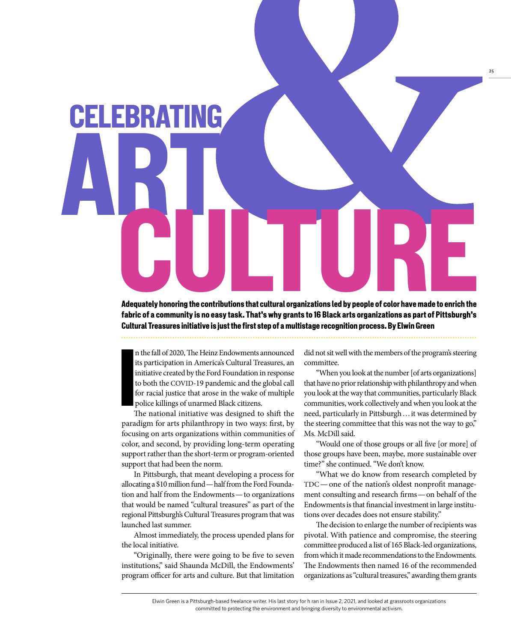

Adequately honoring the contributions that cultural organizations led by people of color have made to enrich the fabric of a community is no easy task. That's why grants to 16 Black arts organizations as part of Pittsburgh's Cultural Treasures initiative is just the first step of a multistage recognition process. By Elwin Green

 $\begin{bmatrix} 1 \\ 1 \\ 1 \\ 1 \\ 1 \\ 1 \\ 1 \end{bmatrix}$ n the fall of 2020, The Heinz Endowments announced its participation in America's Cultural Treasures, an initiative created by the Ford Foundation in response to both the COVID-19 pandemic and the global call for racial justice that arose in the wake of multiple police killings of unarmed Black citizens.

The national initiative was designed to shift the paradigm for arts philanthropy in two ways: first, by focusing on arts organizations within communities of color, and second, by providing long-term operating support rather than the short-term or program-oriented support that had been the norm.

In Pittsburgh, that meant developing a process for allocating a \$10 million fund — half from the Ford Foundation and half from the Endowments — to organizations that would be named "cultural treasures" as part of the regional Pittsburgh's Cultural Treasures program that was launched last summer.

Almost immediately, the process upended plans for the local initiative.

"Originally, there were going to be five to seven institutions," said Shaunda McDill, the Endowments' program officer for arts and culture. But that limitation

did not sit well with the members of the program's steering committee.

25

"When you look at the number [of arts organizations] that have no prior relationship with philanthropy and when you look at the way that communities, particularly Black communities, work collectively and when you look at the need, particularly in Pittsburgh … it was determined by the steering committee that this was not the way to go," Ms. McDill said.

"Would one of those groups or all five [or more] of those groups have been, maybe, more sustainable over time?" she continued. "We don't know.

"What we do know from research completed by TDC — one of the nation's oldest nonprofit management consulting and research firms — on behalf of the Endowments is that financial investment in large institutions over decades does not ensure stability."

The decision to enlarge the number of recipients was pivotal. With patience and compromise, the steering committee produced a list of 165 Black-led organizations, from which it made recommendations to the Endowments. The Endowments then named 16 of the recommended organizations as "cultural treasures," awarding them grants

Elwin Green is a Pittsburgh-based freelance writer. His last story for h ran in Issue 2, 2021, and looked at grassroots organizations committed to protecting the environment and bringing diversity to environmental activism.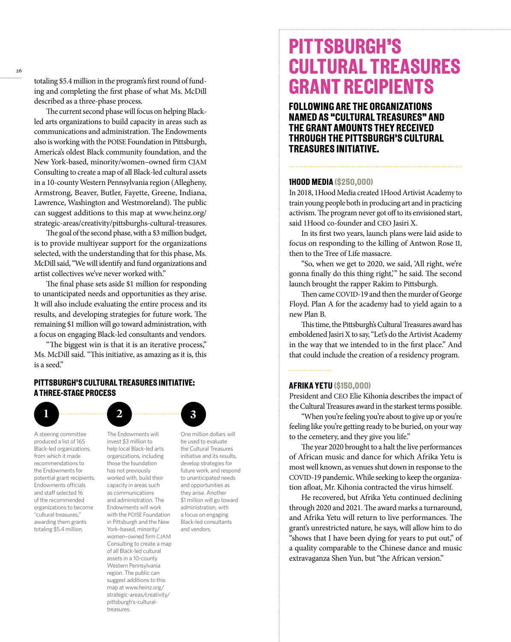totaling \$5.4 million in the program's first round of funding and completing the first phase of what Ms. McDill described as a three-phase process.

The current second phase will focus on helping Blackled arts organizations to build capacity in areas such as communications and administration. The Endowments also is working with the POISE Foundation in Pittsburgh, America's oldest Black community foundation, and the New York-based, minority/women–owned firm CJAM Consulting to create a map of all Black-led cultural assets in a 10-county Western Pennsylvania region (Allegheny, Armstrong, Beaver, Butler, Fayette, Greene, Indiana, Lawrence, Washington and Westmoreland). The public can suggest additions to this map at www.heinz.org/ strategic-areas/creativity/pittsburghs-cultural-treasures.

The goal of the second phase, with a \$3 million budget, is to provide multiyear support for the organizations selected, with the understanding that for this phase, Ms. McDill said, "We will identify and fund organizations and artist collectives we've never worked with."

The final phase sets aside \$1 million for responding to unanticipated needs and opportunities as they arise. It will also include evaluating the entire process and its results, and developing strategies for future work. The remaining \$1 million will go toward administration, with a focus on engaging Black-led consultants and vendors.

"The biggest win is that it is an iterative process," Ms. McDill said. "This initiative, as amazing as it is, this is a seed."

# PITTSBURGH'S CULTURAL TREASURES INITIATIVE: A THREE-STAGE PROCESS



A steering committee produced a list of 165 Black-led organizations, from which it made recommendations to the Endowments for potential grant recipients. Endowments officials and staff selected 16 of the recommended organizations to become "cultural treasures," awarding them grants totaling \$5.4 million.

The Endowments will invest \$3 million to help local Black-led arts organizations, including those the foundation has not previously worked with, build their capacity in areas such as communications and administration. The Endowments will work with the POISE Foundation in Pittsburgh and the New York–based, minority/ women–owned firm CJAM Consulting to create a map of all Black-led cultural assets in a 10-county Western Pennsylvania region. The public can suggest additions to this map at www.heinz.org/ strategic-areas/creativity/ pittsburgh's-culturaltreasures.

One million dollars will be used to evaluate the Cultural Treasures initiative and its results, develop strategies for future work, and respond to unanticipated needs and opportunities as they arise. Another \$1 million will go toward administration, with a focus on engaging Black-led consultants and vendors.

# PITTSBURGH'S CULTURAL TREASURES GRANT RECIPIENTS

FOLLOWING ARE THE ORGANIZATIONS NAMED AS "CULTURAL TREASURES" AND THE GRANT AMOUNTS THEY RECEIVED THROUGH THE PITTSBURGH'S CULTURAL TREASURES INITIATIVE.

# 1HOOD MEDIA (\$250,000)

In 2018, 1Hood Media created 1Hood Artivist Academy to train young people both in producing art and in practicing activism. The program never got off to its envisioned start, said 1Hood co-founder and CEO Jasiri X.

In its first two years, launch plans were laid aside to focus on responding to the killing of Antwon Rose II, then to the Tree of Life massacre.

"So, when we get to 2020, we said, 'All right, we're gonna finally do this thing right,'" he said. The second launch brought the rapper Rakim to Pittsburgh.

Then came COVID-19 and then the murder of George Floyd. Plan A for the academy had to yield again to a new Plan B.

This time, the Pittsburgh's Cultural Treasures award has emboldened Jasiri X to say, "Let's do the Artivist Academy in the way that we intended to in the first place." And that could include the creation of a residency program.

. . . . . . . . . . . . . . . . .

# AFRIKA YETU (\$150,000)

President and CEO Elie Kihonia describes the impact of the Cultural Treasures award in the starkest terms possible.

"When you're feeling you're about to give up or you're feeling like you're getting ready to be buried, on your way to the cemetery, and they give you life."

The year 2020 brought to a halt the live performances of African music and dance for which Afrika Yetu is most well known, as venues shut down in response to the COVID-19 pandemic. While seeking to keep the organization afloat, Mr. Kihonia contracted the virus himself.

He recovered, but Afrika Yetu continued declining through 2020 and 2021. The award marks a turnaround, and Afrika Yetu will return to live performances. The grant's unrestricted nature, he says, will allow him to do "shows that I have been dying for years to put out," of a quality comparable to the Chinese dance and music extravaganza Shen Yun, but "the African version."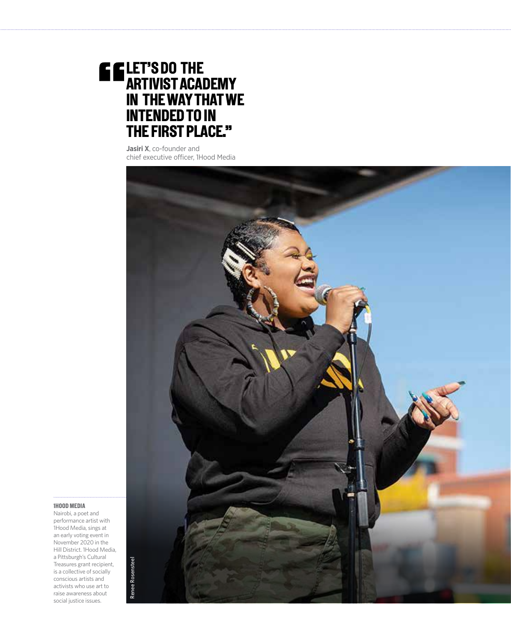# LET'S DO THE ARTIVIST ACADEMY IN THE WAY THAT WE INTENDED TO IN THE FIRST PLACE."

**Jasiri X**, co-founder and chief executive officer, 1Hood Media



# 1HOOD MEDIA

Nairobi, a poet and performance artist with 1Hood Media, sings at an early voting event in November 2020 in the Hill District. 1Hood Media, a Pittsburgh's Cultural Treasures grant recipient, is a collective of socially conscious artists and activists who use art to raise awareness about social justice issues.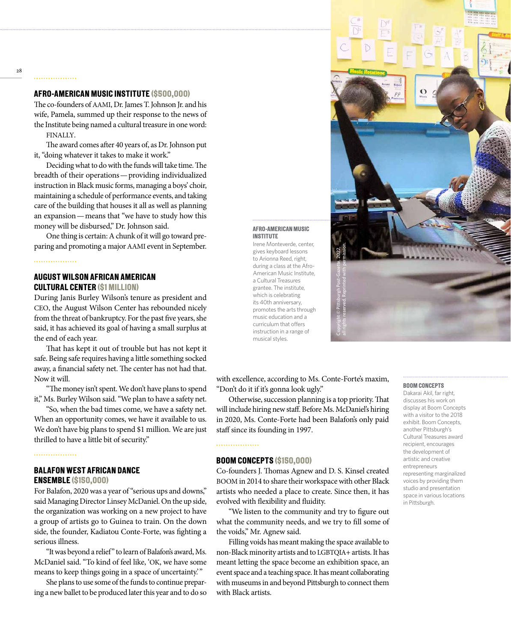# AFRO-AMERICAN MUSIC INSTITUTE (\$500,000)

The co-founders of AAMI, Dr. James T. Johnson Jr. and his wife, Pamela, summed up their response to the news of the Institute being named a cultural treasure in one word: FINALLY.

The award comes after 40 years of, as Dr. Johnson put it, "doing whatever it takes to make it work."

Deciding what to do with the funds will take time. The breadth of their operations — providing individualized instruction in Black music forms, managing a boys' choir, maintaining a schedule of performance events, and taking care of the building that houses it all as well as planning an expansion — means that "we have to study how this money will be disbursed," Dr. Johnson said.

One thing is certain: A chunk of it will go toward preparing and promoting a major AAMI event in September.

# . . . . . . . . . . . . . . . . .

# AUGUST WILSON AFRICAN AMERICAN CULTURAL CENTER (\$1 MILLION)

During Janis Burley Wilson's tenure as president and CEO, the August Wilson Center has rebounded nicely from the threat of bankruptcy. For the past five years, she said, it has achieved its goal of having a small surplus at the end of each year.

That has kept it out of trouble but has not kept it safe. Being safe requires having a little something socked away, a financial safety net. The center has not had that. Now it will.

"The money isn't spent. We don't have plans to spend it," Ms. Burley Wilson said. "We plan to have a safety net.

"So, when the bad times come, we have a safety net. When an opportunity comes, we have it available to us. We don't have big plans to spend \$1 million. We are just thrilled to have a little bit of security."

# **BALAFON WEST AFRICAN DANCE** ENSEMBLE (\$150,000)

For Balafon, 2020 was a year of "serious ups and downs," said Managing Director Linsey McDaniel. On the up side, the organization was working on a new project to have a group of artists go to Guinea to train. On the down side, the founder, Kadiatou Conte-Forte, was fighting a serious illness.

"It was beyond a relief" to learn of Balafon's award, Ms. McDaniel said. "To kind of feel like, 'OK, we have some means to keep things going in a space of uncertainty."

She plans to use some of the funds to continue preparing a new ballet to be produced later this year and to do so

# Copyright © Pittsburgh Post-Gazette, 2022, all rights reserved. Reprinted with permission.

AFRO-AMERICAN MUSIC

Irene Monteverde, center, gives keyboard lessons to Arionna Reed, right, during a class at the Afro-American Music Institute, a Cultural Treasures grantee. The institute, which is celebrating its 40th anniversary, promotes the arts through music education and a curriculum that offers instruction in a range of musical styles.

INSTITUTE

with excellence, according to Ms. Conte-Forte's maxim, "Don't do it if it's gonna look ugly."

Otherwise, succession planning is a top priority. That will include hiring new staff. Before Ms. McDaniel's hiring in 2020, Ms. Conte-Forte had been Balafon's only paid staff since its founding in 1997.

# BOOM CONCEPTS (\$150,000)

. . . . . . . . . . . . . . . . .

Co-founders J. Thomas Agnew and D. S. Kinsel created BOOM in 2014 to share their workspace with other Black artists who needed a place to create. Since then, it has evolved with flexibility and fluidity.

"We listen to the community and try to figure out what the community needs, and we try to fill some of the voids," Mr. Agnew said.

Filling voids has meant making the space available to non-Black minority artists and to LGBTQIA+ artists. It has meant letting the space become an exhibition space, an event space and a teaching space. It has meant collaborating with museums in and beyond Pittsburgh to connect them with Black artists.

# BOOM CONCEPTS

Dakarai Akil, far right, discusses his work on display at Boom Concepts with a visitor to the 2018 exhibit. Boom Concepts another Pittsburgh's Cultural Treasures award recipient, encourages the development of artistic and creative entrepreneurs representing marginalized voices by providing them studio and presentation space in various locations in Pittsburgh.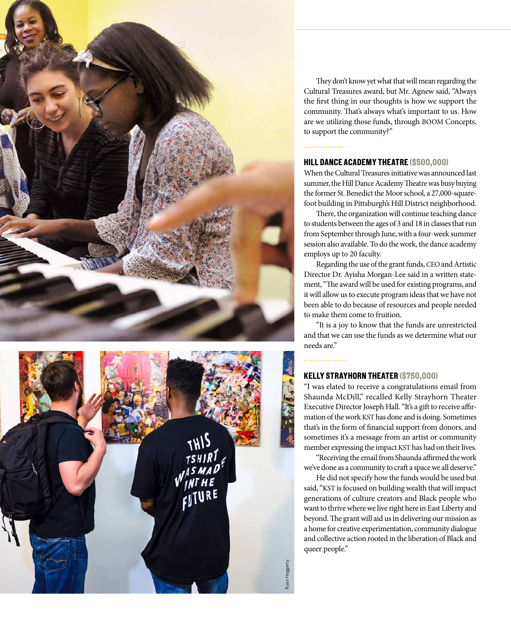



They don't know yet what that will mean regarding the Cultural Treasures award, but Mr. Agnew said, "Always the first thing in our thoughts is how we support the community. That's always what's important to us. How are we utilizing those funds, through BOOM Concepts, to support the community?"

# . . . . . . . . . . . . . . . . .

# HILL DANCE ACADEMY THEATRE (\$500,000)

When the Cultural Treasures initiative was announced last summer, the Hill Dance Academy Theatre was busy buying the former St. Benedict the Moor school, a 27,000-squarefoot building in Pittsburgh's Hill District neighborhood.

There, the organization will continue teaching dance to students between the ages of 3 and 18 in classes that run from September through June, with a four-week summer session also available. To do the work, the dance academy employs up to 20 faculty.

Regarding the use of the grant funds, CEO and Artistic Director Dr. Ayisha Morgan-Lee said in a written statement, "The award will be used for existing programs, and it will allow us to execute program ideas that we have not been able to do because of resources and people needed to make them come to fruition.

"It is a joy to know that the funds are unrestricted and that we can use the funds as we determine what our needs are."

# . . . . . . . . . . . . . . .

# **KELLY STRAYHORN THEATER (\$750,000)**

"I was elated to receive a congratulations email from Shaunda McDill," recalled Kelly Strayhorn Theater Executive Director Joseph Hall. "It's a gift to receive affirmation of the work KST has done and is doing. Sometimes that's in the form of financial support from donors, and sometimes it's a message from an artist or community member expressing the impact KST has had on their lives.

"Receiving the email from Shaunda affirmed the work we've done as a community to craft a space we all deserve."

He did not specify how the funds would be used but said, "KST is focused on building wealth that will impact generations of culture creators and Black people who want to thrive where we live right here in East Liberty and beyond. The grant will aid us in delivering our mission as a home for creative experimentation, community dialogue and collective action rooted in the liberation of Black and queer people."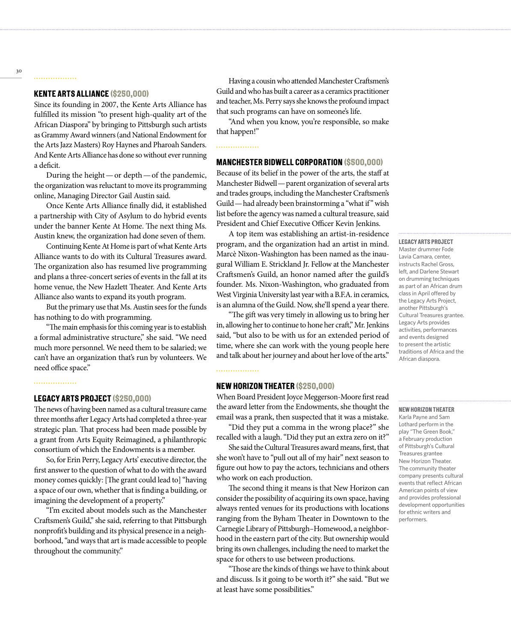# KENTE ARTS ALLIANCE (\$250,000)

. . . . . . . . . . . . . . . . .

Since its founding in 2007, the Kente Arts Alliance has fulfilled its mission "to present high-quality art of the African Diaspora" by bringing to Pittsburgh such artists as Grammy Award winners (and National Endowment for the Arts Jazz Masters) Roy Haynes and Pharoah Sanders. And Kente Arts Alliance has done so without ever running a deficit.

During the height — or depth — of the pandemic, the organization was reluctant to move its programming online, Managing Director Gail Austin said.

Once Kente Arts Alliance finally did, it established a partnership with City of Asylum to do hybrid events under the banner Kente At Home. The next thing Ms. Austin knew, the organization had done seven of them.

Continuing Kente At Home is part of what Kente Arts Alliance wants to do with its Cultural Treasures award. The organization also has resumed live programming and plans a three-concert series of events in the fall at its home venue, the New Hazlett Theater. And Kente Arts Alliance also wants to expand its youth program.

But the primary use that Ms. Austin sees for the funds has nothing to do with programming.

"The main emphasis for this coming year is to establish a formal administrative structure," she said. "We need much more personnel. We need them to be salaried; we can't have an organization that's run by volunteers. We need office space."

## . . . . . . . . . . . . . . . . .

# LEGACY ARTS PROJECT (\$250,000)

The news of having been named as a cultural treasure came three months after Legacy Arts had completed a three-year strategic plan. That process had been made possible by a grant from Arts Equity Reimagined, a philanthropic consortium of which the Endowments is a member.

So, for Erin Perry, Legacy Arts' executive director, the first answer to the question of what to do with the award money comes quickly: [The grant could lead to] "having a space of our own, whether that is finding a building, or imagining the development of a property."

"I'm excited about models such as the Manchester Craftsmen's Guild," she said, referring to that Pittsburgh nonprofit's building and its physical presence in a neighborhood, "and ways that art is made accessible to people throughout the community."

Having a cousin who attended Manchester Craftsmen's Guild and who has built a career as a ceramics practitioner and teacher, Ms. Perry says she knows the profound impact that such programs can have on someone's life.

"And when you know, you're responsible, so make that happen!"

# . . . . . . . . . . . . . . . . .

# MANCHESTER BIDWELL CORPORATION (\$500,000)

Because of its belief in the power of the arts, the staff at Manchester Bidwell — parent organization of several arts and trades groups, including the Manchester Craftsmen's Guild — had already been brainstorming a "what if" wish list before the agency was named a cultural treasure, said President and Chief Executive Officer Kevin Jenkins.

A top item was establishing an artist-in-residence program, and the organization had an artist in mind. Marcè Nixon-Washington has been named as the inaugural William E. Strickland Jr. Fellow at the Manchester Craftsmen's Guild, an honor named after the guild's founder. Ms. Nixon-Washington, who graduated from West Virginia University last year with a B.F.A. in ceramics, is an alumna of the Guild. Now, she'll spend a year there.

"The gift was very timely in allowing us to bring her in, allowing her to continue to hone her craft," Mr. Jenkins said, "but also to be with us for an extended period of time, where she can work with the young people here and talk about her journey and about her love of the arts."

# NEW HORIZON THEATER (\$250,000)

When Board President Joyce Meggerson-Moore first read the award letter from the Endowments, she thought the email was a prank, then suspected that it was a mistake.

"Did they put a comma in the wrong place?" she recalled with a laugh. "Did they put an extra zero on it?"

She said the Cultural Treasures award means, first, that she won't have to "pull out all of my hair" next season to figure out how to pay the actors, technicians and others who work on each production.

The second thing it means is that New Horizon can consider the possibility of acquiring its own space, having always rented venues for its productions with locations ranging from the Byham Theater in Downtown to the Carnegie Library of Pittsburgh–Homewood, a neighborhood in the eastern part of the city. But ownership would bring its own challenges, including the need to market the space for others to use between productions.

"Those are the kinds of things we have to think about and discuss. Is it going to be worth it?" she said. "But we at least have some possibilities."

# LEGACY ARTS PROJECT Master drummer Fode Lavia Camara, center, instructs Rachel Gross, left, and Darlene Stewart on drumming techniques as part of an African drum class in April offered by the Legacy Arts Project, another Pittsburgh's Cultural Treasures grantee. Legacy Arts provides activities, performances and events designed to present the artistic traditions of Africa and the African diaspora.

# NEW HORIZON THEATER

Karla Payne and Sam Lothard perform in the play "The Green Book," a February production of Pittsburgh's Cultural Treasures grantee New Horizon Theater. The community theater company presents cultural events that reflect African American points of view and provides professional development opportunities for ethnic writers and performers.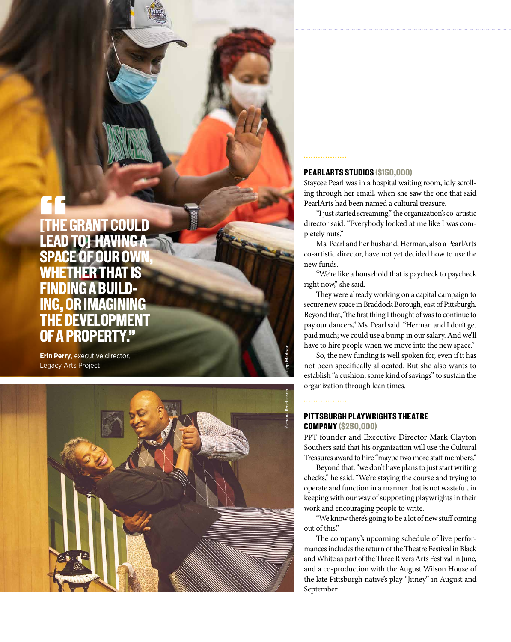# a Cultural Treasure. Staycee Pearl was in a hospital waiting room, in a hospital waiting room, in a scrolling through her email, when she

LEGACY ARTS PRODUCTS Staycee Pearl was in a hospital waiting room, in the scrolling her email, when she saw the one that said Pearlarts had been named

NEW HORIZON THEATER

they will use the Cultural Trust of the Cultural Trust of

checks."We're staying the course and trying to operate and function in a manner that is not wasteful.

saw the one that said PearlArts had been named a Cultural Treasure. **TEGRATE** LEAD TO] HAVING A SPACE OF OUR OWN, **WHETHER TH** FINDING A B - ING, OR IMAGINING THE DEVELOPMENT OF A PROPERTY."

> **Erin Perry**, executive director, Legacy Arts Project



# PEARLARTS STUDIOS (\$150,000)

Staycee Pearl was in a hospital waiting room, idly scroll ing through her email, when she saw the one that said PearlArts had been named a cultural treasure.

"I just started screaming," the organization's co-artistic director said. "Everybody looked at me like I was com pletely nuts."

Ms. Pearl and her husband, Herman, also a PearlArts co-artistic director, have not yet decided how to use the new funds.

"We're like a household that is paycheck to paycheck right now," she said.

They were already working on a capital campaign to secure new space in Braddock Borough, east of Pittsburgh. Beyond that, "the first thing I thought of was to continue to pay our dancers," Ms. Pearl said. "Herman and I don't get paid much; we could use a bump in our salary. And we'll have to hire people when we move into the new space."

So, the new funding is well spoken for, even if it has not been specifically allocated. But she also wants to establish "a cushion, some kind of savings" to sustain the organization through lean times.

# . . . . . . . . . . . . . . . . .

# PITTSBURGH PLAYWRIGHTS THEATRE COMPANY (\$250,000)

PPT founder and Executive Director Mark Clayton Southers said that his organization will use the Cultural Treasures award to hire "maybe two more staff members."

Beyond that, "we don't have plans to just start writing checks," he said. "We're staying the course and trying to operate and function in a manner that is not wasteful, in keeping with our way of supporting playwrights in their work and encouraging people to write.

"We know there's going to be a lot of new stuff coming out of this."

The company's upcoming schedule of live perfor mances includes the return of the Theatre Festival in Black and White as part of the Three Rivers Arts Festival in June, and a co-production with the August Wilson House of the late Pittsburgh native's play "Jitney" in August and September.